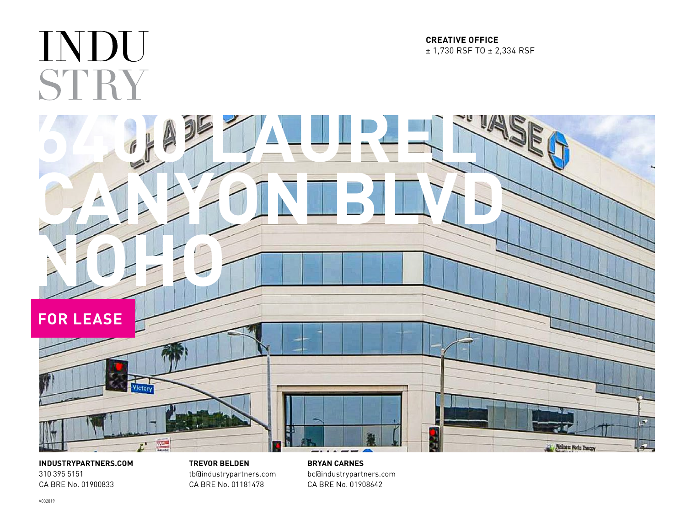

**INDUSTRYPARTNERS.COM** 310 395 5151 CA BRE No. 01900833

**TREVOR BELDEN** tb@industrypartners.com CA BRE No. 01181478

**BRYAN CARNES** bc@industrypartners.com CA BRE No. 01908642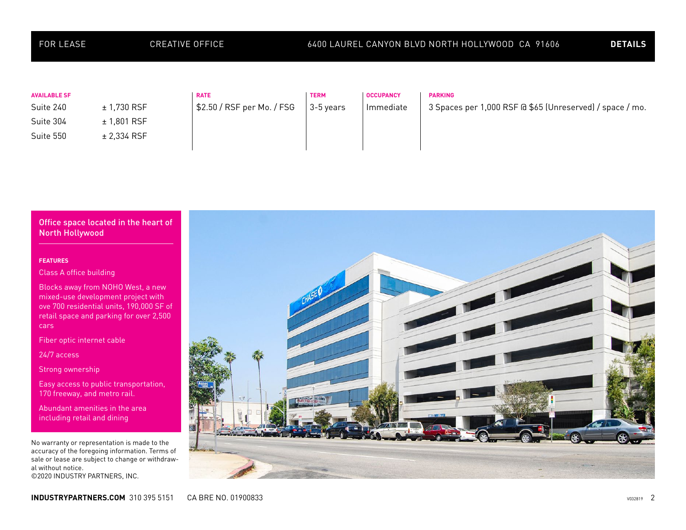| <b>FOR LEASE</b>                                           | <b>CREATIVE OFFICE</b>                      |                                           | 6400 LAUREL CANYON BLVD NORTH HOLLYWOOD CA 91606 |                               |                                                                            | <b>DETAILS</b> |
|------------------------------------------------------------|---------------------------------------------|-------------------------------------------|--------------------------------------------------|-------------------------------|----------------------------------------------------------------------------|----------------|
| <b>AVAILABLE SF</b><br>Suite 240<br>Suite 304<br>Suite 550 | ± 1,730 RSF<br>$± 1,801$ RSF<br>± 2,334 RSF | <b>RATE</b><br>\$2.50 / RSF per Mo. / FSG | <b>TERM</b><br>3-5 years                         | <b>OCCUPANCY</b><br>Immediate | <b>PARKING</b><br>3 Spaces per 1,000 RSF @ \$65 (Unreserved) / space / mo. |                |



## **FEATURES**

Class A office building

Blocks away from NOHO West, a new mixed-use development project with ove 700 residential units, 190,000 SF of retail space and parking for over 2,500 cars

Fiber optic internet cable

24/7 access

Strong ownership

Easy access to public transportation, 170 freeway, and metro rail.

Abundant amenities in the area including retail and dining

No warranty or representation is made to the accuracy of the foregoing information. Terms of sale or lease are subject to change or withdrawal without notice. ©2020 INDUSTRY PARTNERS, INC.

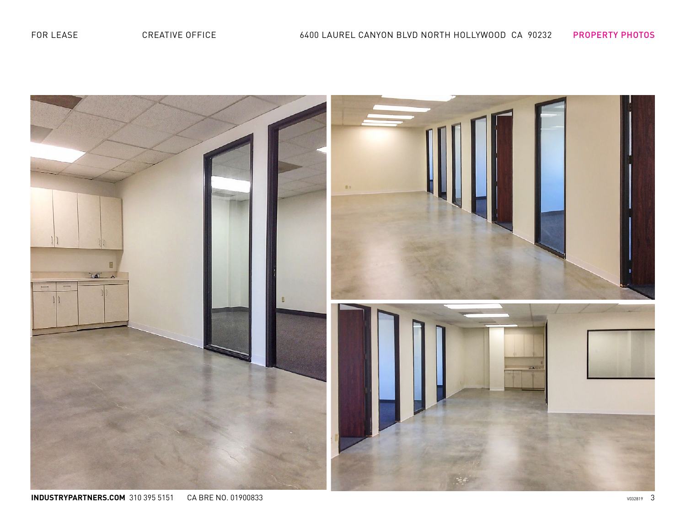